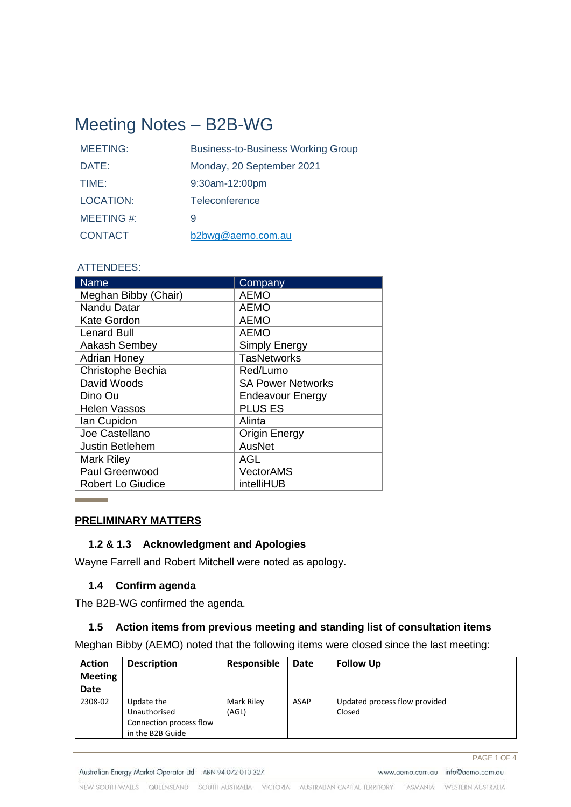# Meeting Notes – B2B-WG

| <b>MEETING:</b>  | <b>Business-to-Business Working Group</b> |
|------------------|-------------------------------------------|
| DATE:            | Monday, 20 September 2021                 |
| TIME:            | 9:30am-12:00pm                            |
| <b>LOCATION:</b> | Teleconference                            |
| MEETING #:       | 9                                         |
| <b>CONTACT</b>   | b2bwg@aemo.com.au                         |

## ATTENDEES:

| <b>Name</b>              | Company                  |
|--------------------------|--------------------------|
| Meghan Bibby (Chair)     | <b>AEMO</b>              |
| Nandu Datar              | <b>AEMO</b>              |
| <b>Kate Gordon</b>       | <b>AEMO</b>              |
| <b>Lenard Bull</b>       | <b>AEMO</b>              |
| Aakash Sembey            | <b>Simply Energy</b>     |
| <b>Adrian Honey</b>      | <b>TasNetworks</b>       |
| Christophe Bechia        | Red/Lumo                 |
| David Woods              | <b>SA Power Networks</b> |
| Dino Ou                  | <b>Endeavour Energy</b>  |
| <b>Helen Vassos</b>      | <b>PLUS ES</b>           |
| lan Cupidon              | Alinta                   |
| Joe Castellano           | Origin Energy            |
| <b>Justin Betlehem</b>   | AusNet                   |
| <b>Mark Riley</b>        | <b>AGL</b>               |
| Paul Greenwood           | VectorAMS                |
| <b>Robert Lo Giudice</b> | intelliHUB               |

## **PRELIMINARY MATTERS**

**Contract Contract Contract** 

#### **1.2 & 1.3 Acknowledgment and Apologies**

Wayne Farrell and Robert Mitchell were noted as apology.

## **1.4 Confirm agenda**

The B2B-WG confirmed the agenda.

## **1.5 Action items from previous meeting and standing list of consultation items**

Meghan Bibby (AEMO) noted that the following items were closed since the last meeting:

| <b>Action</b><br><b>Meeting</b><br><b>Date</b> | <b>Description</b>                                                        | Responsible         | Date        | <b>Follow Up</b>                        |
|------------------------------------------------|---------------------------------------------------------------------------|---------------------|-------------|-----------------------------------------|
| 2308-02                                        | Update the<br>Unauthorised<br>Connection process flow<br>in the B2B Guide | Mark Riley<br>(AGL) | <b>ASAP</b> | Updated process flow provided<br>Closed |

PAGE 1 OF 4 www.aemo.com.au info@aemo.com.au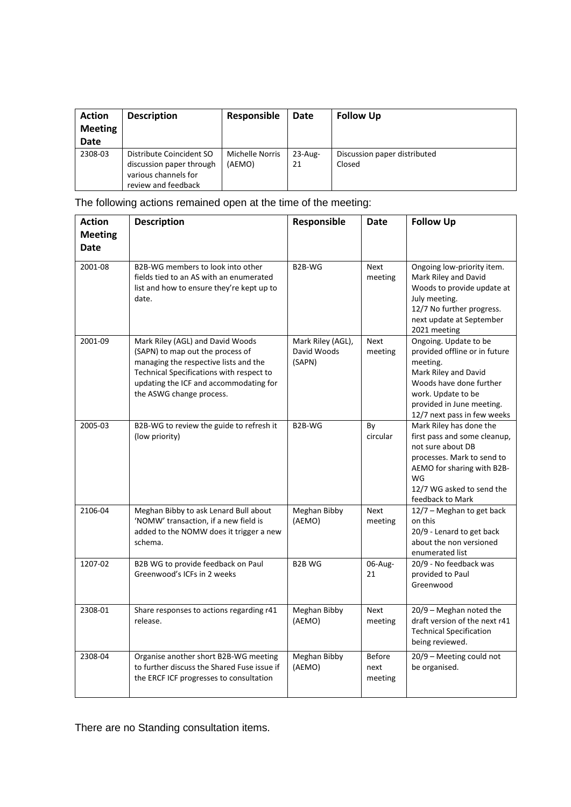| <b>Action</b><br><b>Meeting</b><br><b>Date</b> | <b>Description</b>                                                                                  | Responsible                      | Date             | <b>Follow Up</b>                       |
|------------------------------------------------|-----------------------------------------------------------------------------------------------------|----------------------------------|------------------|----------------------------------------|
| 2308-03                                        | Distribute Coincident SO<br>discussion paper through<br>various channels for<br>review and feedback | <b>Michelle Norris</b><br>(AEMO) | $23$ -Aug-<br>21 | Discussion paper distributed<br>Closed |

The following actions remained open at the time of the meeting:

| <b>Action</b>                 | <b>Description</b>                                                                                                                                                                                                              | Responsible                                | Date                             | <b>Follow Up</b>                                                                                                                                                                                        |
|-------------------------------|---------------------------------------------------------------------------------------------------------------------------------------------------------------------------------------------------------------------------------|--------------------------------------------|----------------------------------|---------------------------------------------------------------------------------------------------------------------------------------------------------------------------------------------------------|
| <b>Meeting</b><br><b>Date</b> |                                                                                                                                                                                                                                 |                                            |                                  |                                                                                                                                                                                                         |
| 2001-08                       | B2B-WG members to look into other                                                                                                                                                                                               | B <sub>2</sub> B-WG                        | <b>Next</b>                      | Ongoing low-priority item.                                                                                                                                                                              |
|                               | fields tied to an AS with an enumerated<br>list and how to ensure they're kept up to<br>date.                                                                                                                                   |                                            | meeting                          | Mark Riley and David<br>Woods to provide update at<br>July meeting.<br>12/7 No further progress.<br>next update at September<br>2021 meeting                                                            |
| 2001-09                       | Mark Riley (AGL) and David Woods<br>(SAPN) to map out the process of<br>managing the respective lists and the<br>Technical Specifications with respect to<br>updating the ICF and accommodating for<br>the ASWG change process. | Mark Riley (AGL),<br>David Woods<br>(SAPN) | <b>Next</b><br>meeting           | Ongoing. Update to be<br>provided offline or in future<br>meeting.<br>Mark Riley and David<br>Woods have done further<br>work. Update to be<br>provided in June meeting.<br>12/7 next pass in few weeks |
| 2005-03                       | B2B-WG to review the guide to refresh it<br>(low priority)                                                                                                                                                                      | B2B-WG                                     | By<br>circular                   | Mark Riley has done the<br>first pass and some cleanup,<br>not sure about DB<br>processes. Mark to send to<br>AEMO for sharing with B2B-<br>WG<br>12/7 WG asked to send the<br>feedback to Mark         |
| 2106-04                       | Meghan Bibby to ask Lenard Bull about<br>'NOMW' transaction, if a new field is<br>added to the NOMW does it trigger a new<br>schema.                                                                                            | Meghan Bibby<br>(AEMO)                     | <b>Next</b><br>meeting           | 12/7 - Meghan to get back<br>on this<br>20/9 - Lenard to get back<br>about the non versioned<br>enumerated list                                                                                         |
| 1207-02                       | B2B WG to provide feedback on Paul<br>Greenwood's ICFs in 2 weeks                                                                                                                                                               | B2B WG                                     | 06-Aug-<br>21                    | 20/9 - No feedback was<br>provided to Paul<br>Greenwood                                                                                                                                                 |
| 2308-01                       | Share responses to actions regarding r41<br>release.                                                                                                                                                                            | Meghan Bibby<br>(AEMO)                     | Next<br>meeting                  | 20/9 - Meghan noted the<br>draft version of the next r41<br><b>Technical Specification</b><br>being reviewed.                                                                                           |
| 2308-04                       | Organise another short B2B-WG meeting<br>to further discuss the Shared Fuse issue if<br>the ERCF ICF progresses to consultation                                                                                                 | Meghan Bibby<br>(AEMO)                     | <b>Before</b><br>next<br>meeting | 20/9 - Meeting could not<br>be organised.                                                                                                                                                               |

There are no Standing consultation items.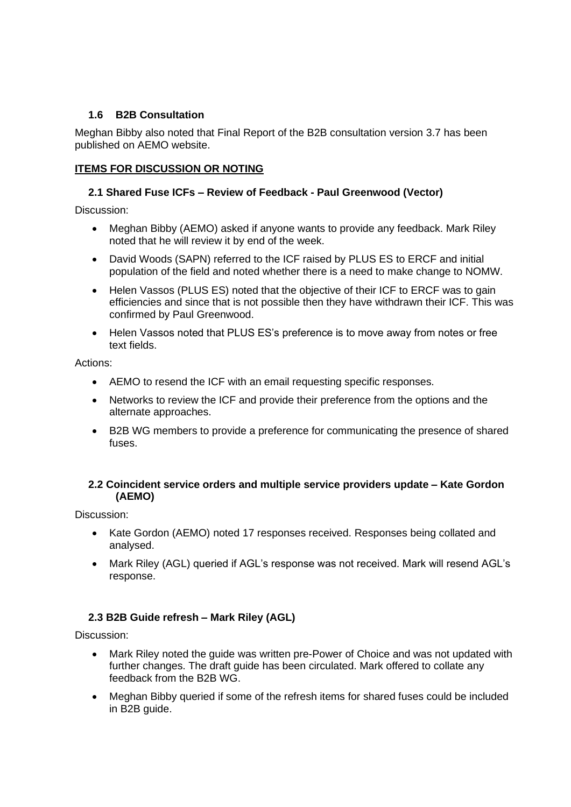# **1.6 B2B Consultation**

Meghan Bibby also noted that Final Report of the B2B consultation version 3.7 has been published on AEMO website.

## **ITEMS FOR DISCUSSION OR NOTING**

## **2.1 Shared Fuse ICFs – Review of Feedback - Paul Greenwood (Vector)**

Discussion:

- Meghan Bibby (AEMO) asked if anyone wants to provide any feedback. Mark Riley noted that he will review it by end of the week.
- David Woods (SAPN) referred to the ICF raised by PLUS ES to ERCF and initial population of the field and noted whether there is a need to make change to NOMW.
- Helen Vassos (PLUS ES) noted that the objective of their ICF to ERCF was to gain efficiencies and since that is not possible then they have withdrawn their ICF. This was confirmed by Paul Greenwood.
- Helen Vassos noted that PLUS ES's preference is to move away from notes or free text fields.

Actions:

- AEMO to resend the ICF with an email requesting specific responses.
- Networks to review the ICF and provide their preference from the options and the alternate approaches.
- B2B WG members to provide a preference for communicating the presence of shared fuses.

## **2.2 Coincident service orders and multiple service providers update – Kate Gordon (AEMO)**

Discussion:

- Kate Gordon (AEMO) noted 17 responses received. Responses being collated and analysed.
- Mark Riley (AGL) queried if AGL's response was not received. Mark will resend AGL's response.

# **2.3 B2B Guide refresh – Mark Riley (AGL)**

Discussion:

- Mark Riley noted the guide was written pre-Power of Choice and was not updated with further changes. The draft guide has been circulated. Mark offered to collate any feedback from the B2B WG.
- Meghan Bibby queried if some of the refresh items for shared fuses could be included in B2B guide.